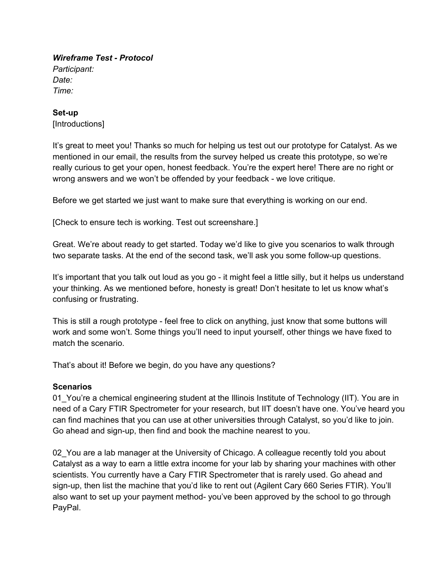*Wireframe Test Protocol Participant: Date: Time:*

## Set-up

[Introductions]

It's great to meet you! Thanks so much for helping us test out our prototype for Catalyst. As we mentioned in our email, the results from the survey helped us create this prototype, so we're really curious to get your open, honest feedback. You're the expert here! There are no right or wrong answers and we won't be offended by your feedback - we love critique.

Before we get started we just want to make sure that everything is working on our end.

[Check to ensure tech is working. Test out screenshare.]

Great. We're about ready to get started. Today we'd like to give you scenarios to walk through two separate tasks. At the end of the second task, we'll ask you some follow-up questions.

It's important that you talk out loud as you go - it might feel a little silly, but it helps us understand your thinking. As we mentioned before, honesty is great! Don't hesitate to let us know what's confusing or frustrating.

This is still a rough prototype - feel free to click on anything, just know that some buttons will work and some won't. Some things you'll need to input yourself, other things we have fixed to match the scenario.

That's about it! Before we begin, do you have any questions?

## **Scenarios**

01\_You're a chemical engineering student at the Illinois Institute of Technology (IIT). You are in need of a Cary FTIR Spectrometer for your research, but IIT doesn't have one. You've heard you can find machines that you can use at other universities through Catalyst, so you'd like to join. Go ahead and sign-up, then find and book the machine nearest to you.

02 You are a lab manager at the University of Chicago. A colleague recently told you about Catalyst as a way to earn a little extra income for your lab by sharing your machines with other scientists. You currently have a Cary FTIR Spectrometer that is rarely used. Go ahead and sign-up, then list the machine that you'd like to rent out (Agilent Cary 660 Series FTIR). You'll also want to set up your payment method-you've been approved by the school to go through PayPal.